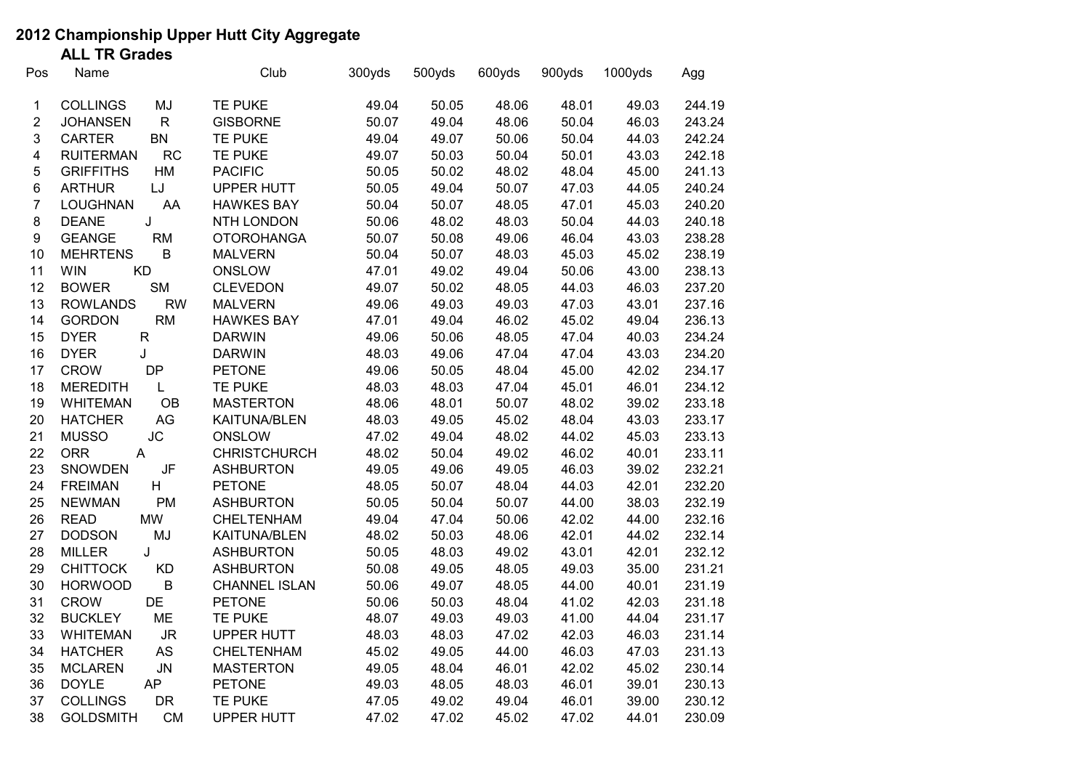## **2012 Championship Upper Hutt City Aggregate**

**ALL TR Grades**

| Pos                     | Name                               | Club                 | 300yds | 500yds | 600yds | 900yds | 1000yds | Agg    |
|-------------------------|------------------------------------|----------------------|--------|--------|--------|--------|---------|--------|
| 1                       | <b>COLLINGS</b><br>MJ              | TE PUKE              | 49.04  | 50.05  | 48.06  | 48.01  | 49.03   | 244.19 |
| $\overline{2}$          | <b>JOHANSEN</b><br>$\mathsf{R}$    | <b>GISBORNE</b>      | 50.07  | 49.04  | 48.06  | 50.04  | 46.03   | 243.24 |
| 3                       | CARTER<br><b>BN</b>                | <b>TE PUKE</b>       | 49.04  | 49.07  | 50.06  | 50.04  | 44.03   | 242.24 |
| $\overline{\mathbf{4}}$ | <b>RUITERMAN</b><br><b>RC</b>      | TE PUKE              | 49.07  | 50.03  | 50.04  | 50.01  | 43.03   | 242.18 |
| $\sqrt{5}$              | <b>GRIFFITHS</b><br>HM             | <b>PACIFIC</b>       | 50.05  | 50.02  | 48.02  | 48.04  | 45.00   | 241.13 |
| 6                       | <b>ARTHUR</b><br>LJ                | <b>UPPER HUTT</b>    | 50.05  | 49.04  | 50.07  | 47.03  | 44.05   | 240.24 |
| $\overline{7}$          | AA<br><b>LOUGHNAN</b>              | <b>HAWKES BAY</b>    | 50.04  | 50.07  | 48.05  | 47.01  | 45.03   | 240.20 |
| 8                       | J<br><b>DEANE</b>                  | NTH LONDON           | 50.06  | 48.02  | 48.03  | 50.04  | 44.03   | 240.18 |
| $\boldsymbol{9}$        | <b>GEANGE</b><br>RM                | <b>OTOROHANGA</b>    | 50.07  | 50.08  | 49.06  | 46.04  | 43.03   | 238.28 |
| 10                      | $\sf B$<br><b>MEHRTENS</b>         | <b>MALVERN</b>       | 50.04  | 50.07  | 48.03  | 45.03  | 45.02   | 238.19 |
| 11                      | <b>KD</b><br><b>WIN</b>            | ONSLOW               | 47.01  | 49.02  | 49.04  | 50.06  | 43.00   | 238.13 |
| 12                      | <b>BOWER</b><br><b>SM</b>          | <b>CLEVEDON</b>      | 49.07  | 50.02  | 48.05  | 44.03  | 46.03   | 237.20 |
| 13                      | <b>RW</b><br><b>ROWLANDS</b>       | <b>MALVERN</b>       | 49.06  | 49.03  | 49.03  | 47.03  | 43.01   | 237.16 |
| 14                      | RM<br><b>GORDON</b>                | <b>HAWKES BAY</b>    | 47.01  | 49.04  | 46.02  | 45.02  | 49.04   | 236.13 |
| 15                      | <b>DYER</b><br>${\sf R}$           | <b>DARWIN</b>        | 49.06  | 50.06  | 48.05  | 47.04  | 40.03   | 234.24 |
| 16                      | J<br><b>DYER</b>                   | <b>DARWIN</b>        | 48.03  | 49.06  | 47.04  | 47.04  | 43.03   | 234.20 |
| 17                      | <b>DP</b><br><b>CROW</b>           | <b>PETONE</b>        | 49.06  | 50.05  | 48.04  | 45.00  | 42.02   | 234.17 |
| 18                      | <b>MEREDITH</b><br>L               | TE PUKE              | 48.03  | 48.03  | 47.04  | 45.01  | 46.01   | 234.12 |
| 19                      | OB<br><b>WHITEMAN</b>              | <b>MASTERTON</b>     | 48.06  | 48.01  | 50.07  | 48.02  | 39.02   | 233.18 |
| 20                      | $\mathsf{AG}$<br><b>HATCHER</b>    | <b>KAITUNA/BLEN</b>  | 48.03  | 49.05  | 45.02  | 48.04  | 43.03   | 233.17 |
| 21                      | <b>JC</b><br><b>MUSSO</b>          | <b>ONSLOW</b>        | 47.02  | 49.04  | 48.02  | 44.02  | 45.03   | 233.13 |
| 22                      | <b>ORR</b><br>A                    | <b>CHRISTCHURCH</b>  | 48.02  | 50.04  | 49.02  | 46.02  | 40.01   | 233.11 |
| 23                      | <b>SNOWDEN</b><br>JF               | <b>ASHBURTON</b>     | 49.05  | 49.06  | 49.05  | 46.03  | 39.02   | 232.21 |
| 24                      | H<br><b>FREIMAN</b>                | <b>PETONE</b>        | 48.05  | 50.07  | 48.04  | 44.03  | 42.01   | 232.20 |
| 25                      | PM<br><b>NEWMAN</b>                | <b>ASHBURTON</b>     | 50.05  | 50.04  | 50.07  | 44.00  | 38.03   | 232.19 |
| 26                      | <b>MW</b><br><b>READ</b>           | CHELTENHAM           | 49.04  | 47.04  | 50.06  | 42.02  | 44.00   | 232.16 |
| 27                      | MJ<br><b>DODSON</b>                | <b>KAITUNA/BLEN</b>  | 48.02  | 50.03  | 48.06  | 42.01  | 44.02   | 232.14 |
| 28                      | <b>MILLER</b><br>J                 | <b>ASHBURTON</b>     | 50.05  | 48.03  | 49.02  | 43.01  | 42.01   | 232.12 |
| 29                      | <b>KD</b><br><b>CHITTOCK</b>       | <b>ASHBURTON</b>     | 50.08  | 49.05  | 48.05  | 49.03  | 35.00   | 231.21 |
| 30                      | $\sf B$<br><b>HORWOOD</b>          | <b>CHANNEL ISLAN</b> | 50.06  | 49.07  | 48.05  | 44.00  | 40.01   | 231.19 |
| 31                      | DE<br><b>CROW</b>                  | <b>PETONE</b>        | 50.06  | 50.03  | 48.04  | 41.02  | 42.03   | 231.18 |
| 32                      | ME<br><b>BUCKLEY</b>               | TE PUKE              | 48.07  | 49.03  | 49.03  | 41.00  | 44.04   | 231.17 |
| 33                      | <b>WHITEMAN</b><br><b>JR</b>       | <b>UPPER HUTT</b>    | 48.03  | 48.03  | 47.02  | 42.03  | 46.03   | 231.14 |
| 34                      | <b>AS</b><br><b>HATCHER</b>        | <b>CHELTENHAM</b>    | 45.02  | 49.05  | 44.00  | 46.03  | 47.03   | 231.13 |
| 35                      | <b>MCLAREN</b><br>${\sf J}{\sf N}$ | <b>MASTERTON</b>     | 49.05  | 48.04  | 46.01  | 42.02  | 45.02   | 230.14 |
| 36                      | <b>DOYLE</b><br><b>AP</b>          | <b>PETONE</b>        | 49.03  | 48.05  | 48.03  | 46.01  | 39.01   | 230.13 |
| 37                      | <b>COLLINGS</b><br><b>DR</b>       | TE PUKE              | 47.05  | 49.02  | 49.04  | 46.01  | 39.00   | 230.12 |
| 38                      | <b>GOLDSMITH</b><br><b>CM</b>      | <b>UPPER HUTT</b>    | 47.02  | 47.02  | 45.02  | 47.02  | 44.01   | 230.09 |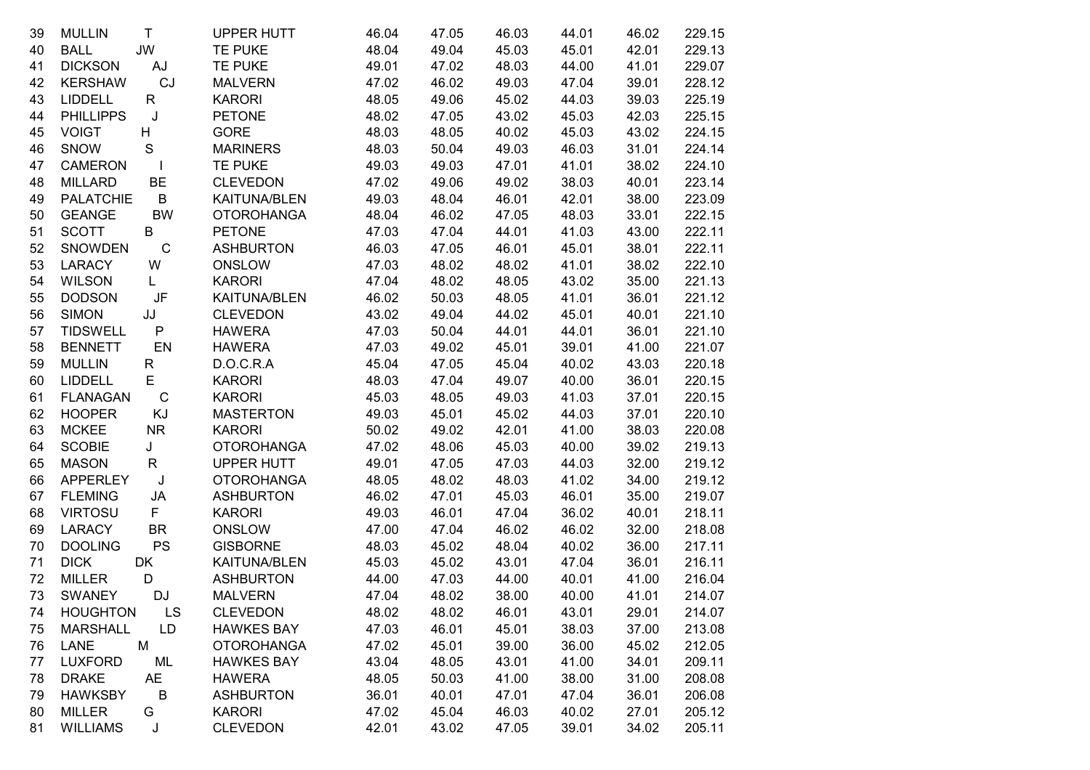| 39 | <b>MULLIN</b>    | $\mathsf{T}$  | <b>UPPER HUTT</b>   | 46.04 | 47.05 | 46.03 | 44.01 | 46.02 | 229.15 |
|----|------------------|---------------|---------------------|-------|-------|-------|-------|-------|--------|
| 40 | <b>BALL</b>      | JW            | <b>TE PUKE</b>      | 48.04 | 49.04 | 45.03 | 45.01 | 42.01 | 229.13 |
| 41 | <b>DICKSON</b>   | AJ            | TE PUKE             | 49.01 | 47.02 | 48.03 | 44.00 | 41.01 | 229.07 |
| 42 | <b>KERSHAW</b>   | CJ            | <b>MALVERN</b>      | 47.02 | 46.02 | 49.03 | 47.04 | 39.01 | 228.12 |
| 43 | <b>LIDDELL</b>   | R             | <b>KARORI</b>       | 48.05 | 49.06 | 45.02 | 44.03 | 39.03 | 225.19 |
| 44 | <b>PHILLIPPS</b> | J             | <b>PETONE</b>       | 48.02 | 47.05 | 43.02 | 45.03 | 42.03 | 225.15 |
| 45 | <b>VOIGT</b>     | H             | <b>GORE</b>         | 48.03 | 48.05 | 40.02 | 45.03 | 43.02 | 224.15 |
| 46 | SNOW             | ${\mathsf S}$ | <b>MARINERS</b>     | 48.03 | 50.04 | 49.03 | 46.03 | 31.01 | 224.14 |
| 47 | <b>CAMERON</b>   | $\mathbf{I}$  | <b>TE PUKE</b>      | 49.03 | 49.03 | 47.01 | 41.01 | 38.02 | 224.10 |
| 48 | <b>MILLARD</b>   | BE            | <b>CLEVEDON</b>     | 47.02 | 49.06 | 49.02 | 38.03 | 40.01 | 223.14 |
| 49 | <b>PALATCHIE</b> | B             | <b>KAITUNA/BLEN</b> | 49.03 | 48.04 | 46.01 | 42.01 | 38.00 | 223.09 |
| 50 | <b>GEANGE</b>    | <b>BW</b>     | <b>OTOROHANGA</b>   | 48.04 | 46.02 | 47.05 | 48.03 | 33.01 | 222.15 |
| 51 | <b>SCOTT</b>     | B             | <b>PETONE</b>       | 47.03 | 47.04 | 44.01 | 41.03 | 43.00 | 222.11 |
| 52 | <b>SNOWDEN</b>   | $\mathsf C$   | <b>ASHBURTON</b>    | 46.03 | 47.05 | 46.01 | 45.01 | 38.01 | 222.11 |
| 53 | <b>LARACY</b>    | W             | ONSLOW              | 47.03 | 48.02 | 48.02 | 41.01 | 38.02 | 222.10 |
| 54 | <b>WILSON</b>    | L.            | <b>KARORI</b>       | 47.04 | 48.02 | 48.05 | 43.02 | 35.00 | 221.13 |
| 55 | <b>DODSON</b>    | JF            | <b>KAITUNA/BLEN</b> | 46.02 | 50.03 | 48.05 | 41.01 | 36.01 | 221.12 |
| 56 | <b>SIMON</b>     | JJ            | <b>CLEVEDON</b>     | 43.02 | 49.04 | 44.02 | 45.01 | 40.01 | 221.10 |
| 57 | <b>TIDSWELL</b>  | P             | <b>HAWERA</b>       | 47.03 | 50.04 | 44.01 | 44.01 | 36.01 | 221.10 |
| 58 | <b>BENNETT</b>   | EN            | <b>HAWERA</b>       | 47.03 | 49.02 | 45.01 | 39.01 | 41.00 | 221.07 |
| 59 | <b>MULLIN</b>    | R             | D.O.C.R.A           | 45.04 | 47.05 | 45.04 | 40.02 | 43.03 | 220.18 |
| 60 | LIDDELL          | E.            | <b>KARORI</b>       | 48.03 | 47.04 | 49.07 | 40.00 | 36.01 | 220.15 |
| 61 | <b>FLANAGAN</b>  | $\mathsf{C}$  | <b>KARORI</b>       | 45.03 | 48.05 | 49.03 | 41.03 | 37.01 | 220.15 |
| 62 | <b>HOOPER</b>    | KJ            | <b>MASTERTON</b>    | 49.03 | 45.01 | 45.02 | 44.03 | 37.01 | 220.10 |
| 63 | <b>MCKEE</b>     | <b>NR</b>     | <b>KARORI</b>       | 50.02 | 49.02 | 42.01 | 41.00 | 38.03 | 220.08 |
| 64 | <b>SCOBIE</b>    | J             | <b>OTOROHANGA</b>   | 47.02 | 48.06 | 45.03 | 40.00 | 39.02 | 219.13 |
| 65 | <b>MASON</b>     | R.            | <b>UPPER HUTT</b>   | 49.01 | 47.05 | 47.03 | 44.03 | 32.00 | 219.12 |
| 66 | <b>APPERLEY</b>  | $\sf J$       | <b>OTOROHANGA</b>   | 48.05 | 48.02 | 48.03 | 41.02 | 34.00 | 219.12 |
| 67 | <b>FLEMING</b>   | JA            | <b>ASHBURTON</b>    | 46.02 | 47.01 | 45.03 | 46.01 | 35.00 | 219.07 |
| 68 | <b>VIRTOSU</b>   | F             | <b>KARORI</b>       | 49.03 | 46.01 | 47.04 | 36.02 | 40.01 | 218.11 |
| 69 | LARACY           | <b>BR</b>     | ONSLOW              | 47.00 | 47.04 | 46.02 | 46.02 | 32.00 | 218.08 |
| 70 | <b>DOOLING</b>   | <b>PS</b>     | <b>GISBORNE</b>     | 48.03 | 45.02 | 48.04 | 40.02 | 36.00 | 217.11 |
| 71 | <b>DICK</b>      | DK            | <b>KAITUNA/BLEN</b> | 45.03 | 45.02 | 43.01 | 47.04 | 36.01 | 216.11 |
| 72 | <b>MILLER</b>    | D             | <b>ASHBURTON</b>    | 44.00 | 47.03 | 44.00 | 40.01 | 41.00 | 216.04 |
| 73 | <b>SWANEY</b>    | DJ            | <b>MALVERN</b>      | 47.04 | 48.02 | 38.00 | 40.00 | 41.01 | 214.07 |
| 74 | <b>HOUGHTON</b>  | LS            | <b>CLEVEDON</b>     | 48.02 | 48.02 | 46.01 | 43.01 | 29.01 | 214.07 |
| 75 | <b>MARSHALL</b>  | LD            | <b>HAWKES BAY</b>   | 47.03 | 46.01 | 45.01 | 38.03 | 37.00 | 213.08 |
| 76 | M<br><b>LANE</b> |               | <b>OTOROHANGA</b>   | 47.02 | 45.01 | 39.00 | 36.00 | 45.02 | 212.05 |
| 77 | <b>LUXFORD</b>   | ML            | <b>HAWKES BAY</b>   | 43.04 | 48.05 | 43.01 | 41.00 | 34.01 | 209.11 |
| 78 | <b>DRAKE</b>     | AE            | <b>HAWERA</b>       | 48.05 | 50.03 | 41.00 | 38.00 | 31.00 | 208.08 |
| 79 | <b>HAWKSBY</b>   | B             | <b>ASHBURTON</b>    | 36.01 | 40.01 | 47.01 | 47.04 | 36.01 | 206.08 |
| 80 | <b>MILLER</b>    | G             | <b>KARORI</b>       | 47.02 | 45.04 | 46.03 | 40.02 | 27.01 | 205.12 |
| 81 | <b>WILLIAMS</b>  | J             | <b>CLEVEDON</b>     | 42.01 | 43.02 | 47.05 | 39.01 | 34.02 | 205.11 |